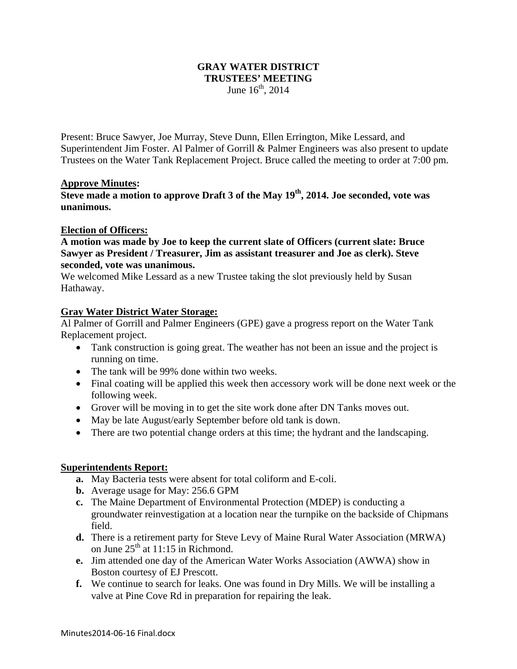## **GRAY WATER DISTRICT TRUSTEES' MEETING**  June  $16^{th}$ , 2014

Present: Bruce Sawyer, Joe Murray, Steve Dunn, Ellen Errington, Mike Lessard, and Superintendent Jim Foster. Al Palmer of Gorrill & Palmer Engineers was also present to update Trustees on the Water Tank Replacement Project. Bruce called the meeting to order at 7:00 pm.

#### **Approve Minutes:**

**Steve made a motion to approve Draft 3 of the May 19th, 2014. Joe seconded, vote was unanimous.** 

#### **Election of Officers:**

**A motion was made by Joe to keep the current slate of Officers (current slate: Bruce Sawyer as President / Treasurer, Jim as assistant treasurer and Joe as clerk). Steve seconded, vote was unanimous.** 

We welcomed Mike Lessard as a new Trustee taking the slot previously held by Susan Hathaway.

#### **Gray Water District Water Storage:**

Al Palmer of Gorrill and Palmer Engineers (GPE) gave a progress report on the Water Tank Replacement project.

- Tank construction is going great. The weather has not been an issue and the project is running on time.
- The tank will be 99% done within two weeks.
- Final coating will be applied this week then accessory work will be done next week or the following week.
- Grover will be moving in to get the site work done after DN Tanks moves out.
- May be late August/early September before old tank is down.
- There are two potential change orders at this time; the hydrant and the landscaping.

### **Superintendents Report:**

- **a.** May Bacteria tests were absent for total coliform and E-coli.
- **b.** Average usage for May: 256.6 GPM
- **c.** The Maine Department of Environmental Protection (MDEP) is conducting a groundwater reinvestigation at a location near the turnpike on the backside of Chipmans field.
- **d.** There is a retirement party for Steve Levy of Maine Rural Water Association (MRWA) on June  $25<sup>th</sup>$  at 11:15 in Richmond.
- **e.** Jim attended one day of the American Water Works Association (AWWA) show in Boston courtesy of EJ Prescott.
- **f.** We continue to search for leaks. One was found in Dry Mills. We will be installing a valve at Pine Cove Rd in preparation for repairing the leak.